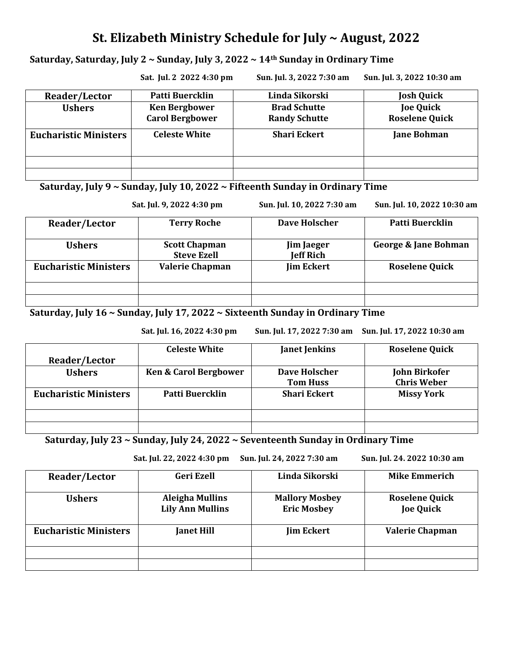## **St. Elizabeth Ministry Schedule for July ~ August, 2022**

**Saturday, Saturday, July 2 ~ Sunday, July 3, 2022 ~ 14th Sunday in Ordinary Time** 

 **Sat. Jul. 2 2022 4:30 pm Sun. Jul. 3, 2022 7:30 am Sun. Jul. 3, 2022 10:30 am** 

| <b>Reader/Lector</b>         | Patti Buercklin        | Linda Sikorski       | <b>Josh Quick</b>     |
|------------------------------|------------------------|----------------------|-----------------------|
| <b>Ushers</b>                | <b>Ken Bergbower</b>   | <b>Brad Schutte</b>  | <b>Joe Quick</b>      |
|                              | <b>Carol Bergbower</b> | <b>Randy Schutte</b> | <b>Roselene Quick</b> |
| <b>Eucharistic Ministers</b> | <b>Celeste White</b>   | <b>Shari Eckert</b>  | <b>Jane Bohman</b>    |
|                              |                        |                      |                       |
|                              |                        |                      |                       |
|                              |                        |                      |                       |

 **Saturday, July 9 ~ Sunday, July 10, 2022 ~ Fifteenth Sunday in Ordinary Time** 

 **Sat. Jul. 9, 2022 4:30 pm Sun. Jul. 10, 2022 7:30 am Sun. Jul. 10, 2022 10:30 am** 

| Reader/Lector                | <b>Terry Roche</b>                         | <b>Dave Holscher</b>           | Patti Buercklin       |
|------------------------------|--------------------------------------------|--------------------------------|-----------------------|
| <b>Ushers</b>                | <b>Scott Chapman</b><br><b>Steve Ezell</b> | Jim Jaeger<br><b>Jeff Rich</b> | George & Jane Bohman  |
| <b>Eucharistic Ministers</b> | <b>Valerie Chapman</b>                     | <b>Jim Eckert</b>              | <b>Roselene Quick</b> |
|                              |                                            |                                |                       |
|                              |                                            |                                |                       |

**Saturday, July 16 ~ Sunday, July 17, 2022 ~ Sixteenth Sunday in Ordinary Time** 

 **Sat. Jul. 16, 2022 4:30 pm Sun. Jul. 17, 2022 7:30 am Sun. Jul. 17, 2022 10:30 am** 

| Reader/Lector                | <b>Celeste White</b>             | <b>Janet Jenkins</b>             | <b>Roselene Quick</b>                      |
|------------------------------|----------------------------------|----------------------------------|--------------------------------------------|
| <b>Ushers</b>                | <b>Ken &amp; Carol Bergbower</b> | Dave Holscher<br><b>Tom Huss</b> | <b>John Birkofer</b><br><b>Chris Weber</b> |
| <b>Eucharistic Ministers</b> | Patti Buercklin                  | <b>Shari Eckert</b>              | <b>Missy York</b>                          |
|                              |                                  |                                  |                                            |
|                              |                                  |                                  |                                            |

 **Saturday, July 23 ~ Sunday, July 24, 2022 ~ Seventeenth Sunday in Ordinary Time** 

 **Sat. Jul. 22, 2022 4:30 pm Sun. Jul. 24, 2022 7:30 am Sun. Jul. 24. 2022 10:30 am** 

| Reader/Lector                | <b>Geri Ezell</b>                                 | Linda Sikorski                              | <b>Mike Emmerich</b>                      |
|------------------------------|---------------------------------------------------|---------------------------------------------|-------------------------------------------|
| <b>Ushers</b>                | <b>Aleigha Mullins</b><br><b>Lily Ann Mullins</b> | <b>Mallory Mosbey</b><br><b>Eric Mosbey</b> | <b>Roselene Quick</b><br><b>Joe Quick</b> |
| <b>Eucharistic Ministers</b> | <b>Janet Hill</b>                                 | <b>Jim Eckert</b>                           | <b>Valerie Chapman</b>                    |
|                              |                                                   |                                             |                                           |
|                              |                                                   |                                             |                                           |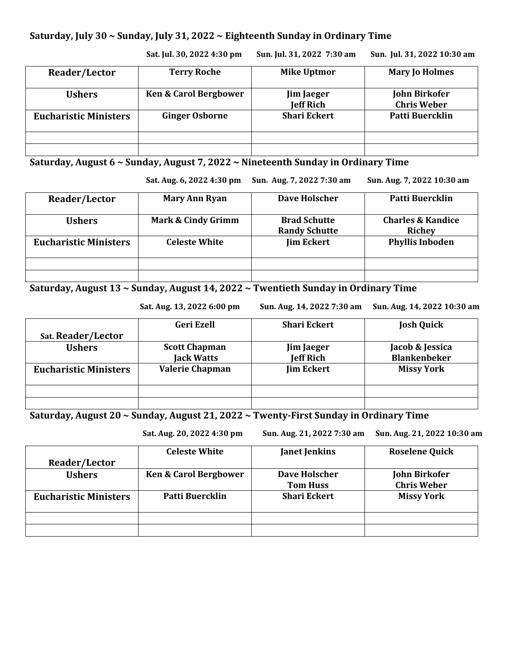## **Saturday, July 30 ~ Sunday, July 31, 2022 ~ Eighteenth Sunday in Ordinary Time**

Reader/Lector | Terry Roche | Mike Uptmor | Mary Jo Holmes Ushers **Ren & Carol Bergbower Letter Jim Jaeger Jeff Rich John Birkofer Chris Weber Eucharistic Ministers** Ginger Osborne Shari Eckert Patti Buercklin

 **Sat. Jul. 30, 2022 4:30 pm Sun. Jul. 31, 2022 7:30 am Sun. Jul. 31, 2022 10:30 am** 

**Saturday, August 6 ~ Sunday, August 7, 2022 ~ Nineteenth Sunday in Ordinary Time** 

 **Sat. Aug. 6, 2022 4:30 pm Sun. Aug. 7, 2022 7:30 am Sun. Aug. 7, 2022 10:30 am** 

| Reader/Lector                | <b>Mary Ann Ryan</b> | Dave Holscher                               | Patti Buercklin                               |
|------------------------------|----------------------|---------------------------------------------|-----------------------------------------------|
| <b>Ushers</b>                | Mark & Cindy Grimm   | <b>Brad Schutte</b><br><b>Randy Schutte</b> | <b>Charles &amp; Kandice</b><br><b>Richey</b> |
| <b>Eucharistic Ministers</b> | <b>Celeste White</b> | <b>Jim Eckert</b>                           | <b>Phyllis Inboden</b>                        |
|                              |                      |                                             |                                               |
|                              |                      |                                             |                                               |

**Saturday, August 13 ~ Sunday, August 14, 2022 ~ Twentieth Sunday in Ordinary Time** 

 **Sat. Aug. 13, 2022 6:00 pm Sun. Aug. 14, 2022 7:30 am Sun. Aug. 14, 2022 10:30 am** 

| Sat. Reader/Lector           | <b>Geri Ezell</b>                         | <b>Shari Eckert</b>                   | <b>Josh Quick</b>                      |
|------------------------------|-------------------------------------------|---------------------------------------|----------------------------------------|
| <b>Ushers</b>                | <b>Scott Chapman</b><br><b>Jack Watts</b> | <b>Jim Jaeger</b><br><b>Jeff Rich</b> | Jacob & Jessica<br><b>Blankenbeker</b> |
| <b>Eucharistic Ministers</b> | <b>Valerie Chapman</b>                    | <b>Jim Eckert</b>                     | <b>Missy York</b>                      |
|                              |                                           |                                       |                                        |
|                              |                                           |                                       |                                        |

**Saturday, August 20 ~ Sunday, August 21, 2022 ~ Twenty-First Sunday in Ordinary Time** 

 **Sat. Aug. 20, 2022 4:30 pm Sun. Aug. 21, 2022 7:30 am Sun. Aug. 21, 2022 10:30 am**

|                              | <b>Celeste White</b>             | <b>Janet Jenkins</b> | <b>Roselene Quick</b> |
|------------------------------|----------------------------------|----------------------|-----------------------|
| Reader/Lector                |                                  |                      |                       |
| <b>Ushers</b>                | <b>Ken &amp; Carol Bergbower</b> | Dave Holscher        | <b>John Birkofer</b>  |
|                              |                                  | <b>Tom Huss</b>      | <b>Chris Weber</b>    |
| <b>Eucharistic Ministers</b> | Patti Buercklin                  | <b>Shari Eckert</b>  | <b>Missy York</b>     |
|                              |                                  |                      |                       |
|                              |                                  |                      |                       |
|                              |                                  |                      |                       |